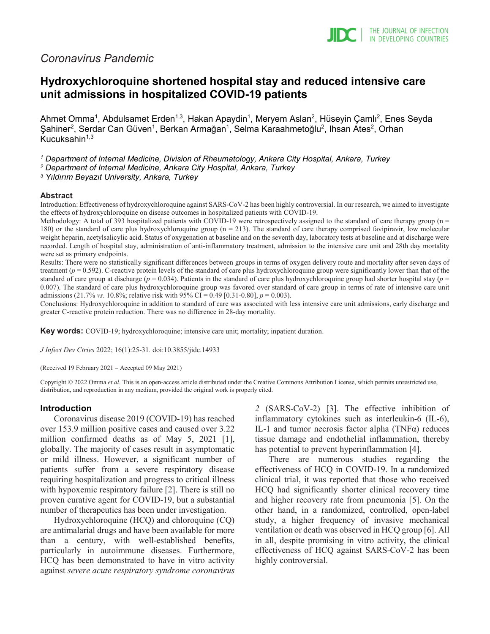## *Coronavirus Pandemic*

# **Hydroxychloroquine shortened hospital stay and reduced intensive care unit admissions in hospitalized COVID-19 patients**

Ahmet Omma<sup>1</sup>, Abdulsamet Erden<sup>1,3</sup>, Hakan Apaydin<sup>1</sup>, Meryem Aslan<sup>2</sup>, Hüseyin Çamlı<sup>2</sup>, Enes Seyda Şahiner<sup>2</sup>, Serdar Can Güven<sup>1</sup>, Berkan Armağan<sup>1</sup>, Selma Karaahmetoğlu<sup>2</sup>, Ihsan Ates<sup>2</sup>, Orhan Kucuksahin $1,3$ 

*<sup>1</sup> Department of Internal Medicine, Division of Rheumatology, Ankara City Hospital, Ankara, Turkey*

*<sup>2</sup> Department of Internal Medicine, Ankara City Hospital, Ankara, Turkey*

*<sup>3</sup> Yıldırım Beyazıt University, Ankara, Turkey*

#### **Abstract**

Introduction: Effectiveness of hydroxychloroquine against SARS-CoV-2 has been highly controversial. In our research, we aimed to investigate the effects of hydroxychloroquine on disease outcomes in hospitalized patients with COVID-19.

Methodology: A total of 393 hospitalized patients with COVID-19 were retrospectively assigned to the standard of care therapy group ( $n =$ 180) or the standard of care plus hydroxychloroquine group (n = 213). The standard of care therapy comprised favipiravir, low molecular weight heparin, acetylsalicylic acid. Status of oxygenation at baseline and on the seventh day, laboratory tests at baseline and at discharge were recorded. Length of hospital stay, administration of anti-inflammatory treatment, admission to the intensive care unit and 28th day mortality were set as primary endpoints.

Results: There were no statistically significant differences between groups in terms of oxygen delivery route and mortality after seven days of treatment (*p* = 0.592). C-reactive protein levels of the standard of care plus hydroxychloroquine group were significantly lower than that of the standard of care group at discharge ( $p = 0.034$ ). Patients in the standard of care plus hydroxychloroquine group had shorter hospital stay ( $p =$ 0.007). The standard of care plus hydroxychloroquine group was favored over standard of care group in terms of rate of intensive care unit admissions (21.7% *vs*. 10.8%; relative risk with 95% CI = 0.49 [0.31-0.80], *p* = 0.003).

Conclusions: Hydroxychloroquine in addition to standard of care was associated with less intensive care unit admissions, early discharge and greater C-reactive protein reduction. There was no difference in 28-day mortality.

**Key words:** COVID-19; hydroxychloroquine; intensive care unit; mortality; inpatient duration.

*J Infect Dev Ctries* 2022; 16(1):25-31*.* doi:10.3855/jidc.14933

(Received 19 February 2021 – Accepted 09 May 2021)

Copyright © 2022 Omma *et al*. This is an open-access article distributed under the Creative Commons Attribution License, which permits unrestricted use, distribution, and reproduction in any medium, provided the original work is properly cited.

### **Introduction**

Coronavirus disease 2019 (COVID‐19) has reached over 153.9 million positive cases and caused over 3.22 million confirmed deaths as of May 5, 2021 [1], globally. The majority of cases result in asymptomatic or mild illness. However, a significant number of patients suffer from a severe respiratory disease requiring hospitalization and progress to critical illness with hypoxemic respiratory failure [2]. There is still no proven curative agent for COVID-19, but a substantial number of therapeutics has been under investigation.

Hydroxychloroquine (HCQ) and chloroquine (CQ) are antimalarial drugs and have been available for more than a century, with well-established benefits, particularly in autoimmune diseases. Furthermore, HCQ has been demonstrated to have in vitro activity against *severe acute respiratory syndrome coronavirus*  *2* (SARS-CoV-2) [3]. The effective inhibition of inflammatory cytokines such as interleukin-6 (IL-6), IL-1 and tumor necrosis factor alpha  $(TNF\alpha)$  reduces tissue damage and endothelial inflammation, thereby has potential to prevent hyperinflammation [4].

There are numerous studies regarding the effectiveness of HCQ in COVID-19. In a randomized clinical trial, it was reported that those who received HCQ had significantly shorter clinical recovery time and higher recovery rate from pneumonia [5]. On the other hand, in a randomized, controlled, open-label study, a higher frequency of invasive mechanical ventilation or death was observed in HCQ group [6]. All in all, despite promising in vitro activity, the clinical effectiveness of HCQ against SARS-CoV-2 has been highly controversial.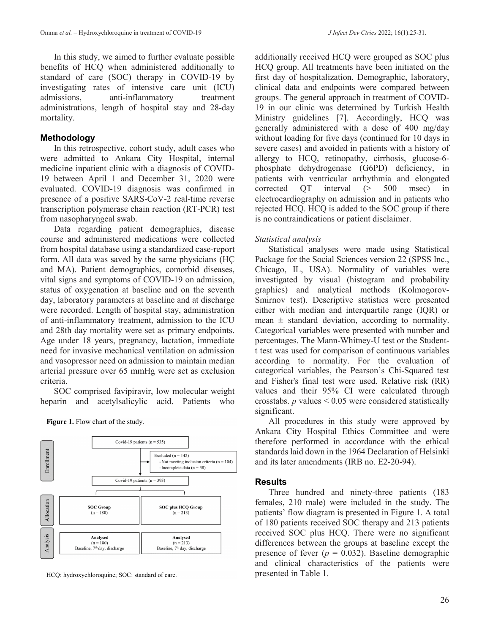In this study, we aimed to further evaluate possible benefits of HCQ when administered additionally to standard of care (SOC) therapy in COVID-19 by investigating rates of intensive care unit (ICU) admissions, anti-inflammatory treatment administrations, length of hospital stay and 28-day mortality.

## **Methodology**

In this retrospective, cohort study, adult cases who were admitted to Ankara City Hospital, internal medicine inpatient clinic with a diagnosis of COVID-19 between April 1 and December 31, 2020 were evaluated. COVID-19 diagnosis was confirmed in presence of a positive SARS-CoV-2 real-time reverse transcription polymerase chain reaction (RT-PCR) test from nasopharyngeal swab.

Data regarding patient demographics, disease course and administered medications were collected from hospital database using a standardized case-report form. All data was saved by the same physicians (HÇ and MA). Patient demographics, comorbid diseases, vital signs and symptoms of COVID-19 on admission, status of oxygenation at baseline and on the seventh day, laboratory parameters at baseline and at discharge were recorded. Length of hospital stay, administration of anti-inflammatory treatment, admission to the ICU and 28th day mortality were set as primary endpoints. Age under 18 years, pregnancy, lactation, immediate need for invasive mechanical ventilation on admission and vasopressor need on admission to maintain median arterial pressure over 65 mmHg were set as exclusion criteria.

SOC comprised favipiravir, low molecular weight heparin and acetylsalicylic acid. Patients who

Covid-19 patients ( $n = 535$ ) Enrollment Excluded  $(n = 142)$ - Not meeting inclusion criteria  $(n = 104)$ - Incomplete data  $(n = 38)$ Covid-19 patients  $(n = 393)$ Allocation SOC Group SOC plus HCQ Group  $(n = 180)$  $(n = 213)$ Analysis Analysed Analysed  $(n = 180)$ <br>Baseline, 7<sup>th</sup> day, discharge  $(n = 213)$ <br>Baseline, 7<sup>th</sup> day, discharge

**Figure 1.** Flow chart of the study.

HCQ: hydroxychloroquine; SOC: standard of care.

additionally received HCQ were grouped as SOC plus HCQ group. All treatments have been initiated on the first day of hospitalization. Demographic, laboratory, clinical data and endpoints were compared between groups. The general approach in treatment of COVID-19 in our clinic was determined by Turkish Health Ministry guidelines [7]. Accordingly, HCQ was generally administered with a dose of 400 mg/day without loading for five days (continued for 10 days in severe cases) and avoided in patients with a history of allergy to HCQ, retinopathy, cirrhosis, glucose-6 phosphate dehydrogenase (G6PD) deficiency, in patients with ventricular arrhythmia and elongated corrected QT interval (> 500 msec) in electrocardiography on admission and in patients who rejected HCQ. HCQ is added to the SOC group if there is no contraindications or patient disclaimer.

### *Statistical analysis*

Statistical analyses were made using Statistical Package for the Social Sciences version 22 (SPSS Inc., Chicago, IL, USA). Normality of variables were investigated by visual (histogram and probability graphics) and analytical methods (Kolmogorov-Smirnov test). Descriptive statistics were presented either with median and interquartile range (IQR) or mean  $\pm$  standard deviation, according to normality. Categorical variables were presented with number and percentages. The Mann-Whitney-U test or the Studentt test was used for comparison of continuous variables according to normality. For the evaluation of categorical variables, the Pearson's Chi-Squared test and Fisher's final test were used. Relative risk (RR) values and their 95% CI were calculated through crosstabs. *p* values < 0.05 were considered statistically significant.

All procedures in this study were approved by Ankara City Hospital Ethics Committee and were therefore performed in accordance with the ethical standards laid down in the 1964 Declaration of Helsinki and its later amendments (IRB no. E2-20-94).

### **Results**

Three hundred and ninety-three patients (183 females, 210 male) were included in the study. The patients' flow diagram is presented in Figure 1. A total of 180 patients received SOC therapy and 213 patients received SOC plus HCQ. There were no significant differences between the groups at baseline except the presence of fever  $(p = 0.032)$ . Baseline demographic and clinical characteristics of the patients were presented in Table 1.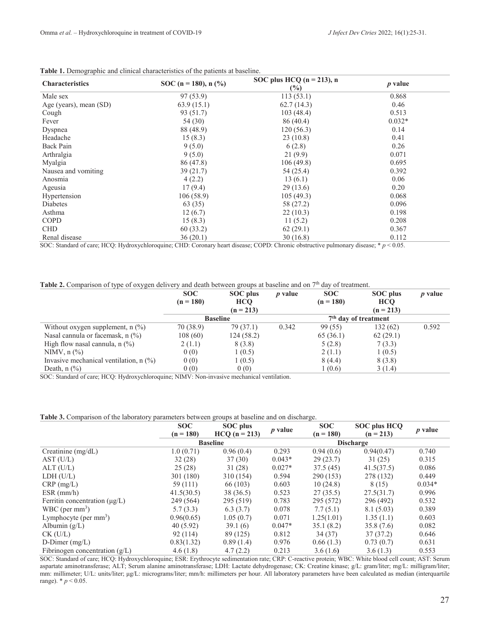| <b>Characteristics</b> | SOC (n = 180), n $(\frac{9}{6})$ | SOC plus HCQ $(n = 213)$ , n<br>$\frac{6}{2}$ | <i>p</i> value |  |
|------------------------|----------------------------------|-----------------------------------------------|----------------|--|
| Male sex               | 97(53.9)                         | 113(53.1)                                     | 0.868          |  |
| Age (years), mean (SD) | 63.9(15.1)                       | 62.7(14.3)                                    | 0.46           |  |
| Cough                  | 93 (51.7)                        | 103(48.4)                                     | 0.513          |  |
| Fever                  | 54 (30)                          | 86 (40.4)                                     | $0.032*$       |  |
| Dyspnea                | 88 (48.9)                        | 120(56.3)                                     | 0.14           |  |
| Headache               | 15(8.3)                          | 23(10.8)                                      | 0.41           |  |
| Back Pain              | 9(5.0)                           | 6(2.8)                                        | 0.26           |  |
| Arthralgia             | 9(5.0)                           | 21(9.9)                                       | 0.071          |  |
| Myalgia                | 86 (47.8)                        | 106(49.8)                                     | 0.695          |  |
| Nausea and vomiting    | 39(21.7)                         | 54 (25.4)                                     | 0.392          |  |
| Anosmia                | 4(2.2)                           | 13(6.1)                                       | 0.06           |  |
| Ageusia                | 17(9.4)                          | 29(13.6)                                      | 0.20           |  |
| Hypertension           | 106(58.9)                        | 105(49.3)                                     | 0.068          |  |
| Diabetes               | 63 (35)                          | 58 (27.2)                                     | 0.096          |  |
| Asthma                 | 12(6.7)                          | 22(10.3)                                      | 0.198          |  |
| COPD                   | 15(8.3)                          | 11(5.2)                                       | 0.208          |  |
| <b>CHD</b>             | 60 (33.2)                        | 62(29.1)                                      | 0.367          |  |
| Renal disease          | 36(20.1)                         | 30 (16.8)                                     | 0.112          |  |

#### **Table 1.** Demographic and clinical characteristics of the patients at baseline.

SOC: Standard of care; HCQ: Hydroxychloroquine; CHD: Coronary heart disease; COPD: Chronic obstructive pulmonary disease; \* *p* < 0.05.

Table 2. Comparison of type of oxygen delivery and death between groups at baseline and on 7<sup>th</sup> day of treatment.

|                                                                 | <b>SOC</b>  | SOC plus        | <i>p</i> value | <b>SOC</b>  | SOC plus               | $p$ value |
|-----------------------------------------------------------------|-------------|-----------------|----------------|-------------|------------------------|-----------|
|                                                                 | $(n = 180)$ | <b>HCQ</b>      |                | $(n = 180)$ | <b>HCQ</b>             |           |
|                                                                 |             | $(n = 213)$     |                |             | $(n = 213)$            |           |
|                                                                 |             | <b>Baseline</b> |                |             | $7th$ day of treatment |           |
| Without oxygen supplement, $n$ (%)                              | 70 (38.9)   | 79 (37.1)       | 0.342          | 99 (55)     | 132(62)                | 0.592     |
| Nasal cannula or facemask, n (%)                                | 108(60)     | 124(58.2)       |                | 65(36.1)    | 62(29.1)               |           |
| High flow nasal cannula, $n$ (%)                                | 2(1.1)      | 8 (3.8)         |                | 5(2.8)      | 7(3.3)                 |           |
| NIMV, $n$ $\left(\frac{9}{6}\right)$                            | 0(0)        | 1(0.5)          |                | 2(1.1)      | 1(0.5)                 |           |
| Invasive mechanical ventilation, $n$ $\left(\frac{9}{0}\right)$ | 0(0)        | 1(0.5)          |                | 8(4.4)      | 8(3.8)                 |           |
| Death, $n$ $\left(\frac{9}{6}\right)$                           | 0(0)        | 0(0)            |                | 1(0.6)      | 3(1.4)                 |           |

SOC: Standard of care; HCQ: Hydroxychloroquine; NIMV: Non-invasive mechanical ventilation.

#### **Table 3.** Comparison of the laboratory parameters between groups at baseline and on discharge.

|                                    | <b>SOC</b><br><b>SOC</b> plus |                 | <b>SOC</b><br>$p$ value | <b>SOC</b> plus HCQ |                  |                |
|------------------------------------|-------------------------------|-----------------|-------------------------|---------------------|------------------|----------------|
|                                    | $(n = 180)$                   | $HCO (n = 213)$ |                         | $(n = 180)$         | $(n = 213)$      | <i>p</i> value |
|                                    |                               | <b>Baseline</b> |                         |                     | <b>Discharge</b> |                |
| Creatinine $(mg/dL)$               | 1.0(0.71)                     | 0.96(0.4)       | 0.293                   | 0.94(0.6)           | 0.94(0.47)       | 0.740          |
| AST (U/L)                          | 32(28)                        | 37(30)          | $0.043*$                | 29(23.7)            | 31(25)           | 0.315          |
| ALT(U/L)                           | 25(28)                        | 31(28)          | $0.027*$                | 37.5(45)            | 41.5(37.5)       | 0.086          |
| LDH (U/L)                          | 301 (180)                     | 310 (154)       | 0.594                   | 290(153)            | 278 (132)        | 0.449          |
| $CRP$ (mg/L)                       | 59 (111)                      | 66(103)         | 0.603                   | 10(24.8)            | 8 (15)           | $0.034*$       |
| $ESR$ (mm/h)                       | 41.5(30.5)                    | 38 (36.5)       | 0.523                   | 27(35.5)            | 27.5(31.7)       | 0.996          |
| Ferritin concentration $(\mu g/L)$ | 249 (564)                     | 295 (519)       | 0.783                   | 295 (572)           | 296 (492)        | 0.532          |
| WBC (per $mm3$ )                   | 5.7(3.3)                      | 6.3(3.7)        | 0.078                   | 7.7(5.1)            | 8.1(5.03)        | 0.389          |
| Lymphocyte (per $mm3$ )            | 0.96(0.65)                    | 1.05(0.7)       | 0.071                   | 1.25(1.01)          | 1.35(1.1)        | 0.603          |
| Albumin $(g/L)$                    | 40(5.92)                      | 39.1(6)         | $0.047*$                | 35.1(8.2)           | 35.8 (7.6)       | 0.082          |
| $CK$ (U/L)                         | 92(114)                       | 89 (125)        | 0.812                   | 34 (37)             | 37(37.2)         | 0.646          |
| D-Dimer $(mg/L)$                   | 0.83(1.32)                    | 0.89(1.4)       | 0.976                   | 0.66(1.3)           | 0.73(0.7)        | 0.631          |
| Fibrinogen concentration $(g/L)$   | 4.6(1.8)                      | 4.7(2.2)        | 0.213                   | 3.6(1.6)            | 3.6(1.3)         | 0.553          |

SOC: Standard of care; HCQ: Hydroxychloroquine; ESR: Erythrocyte sedimentation rate; CRP: C-reactive protein; WBC: White blood cell count; AST: Serum aspartate aminotransferase; ALT; Serum alanine aminotransferase; LDH: Lactate dehydrogenase; CK: Creatine kinase; g/L: gram/liter; mg/L: milligram/liter; mm: millimeter; U/L: units/liter; µg/L: micrograms/liter; mm/h: millimeters per hour. All laboratory parameters have been calculated as median (interquartile range).  $* p < 0.05$ .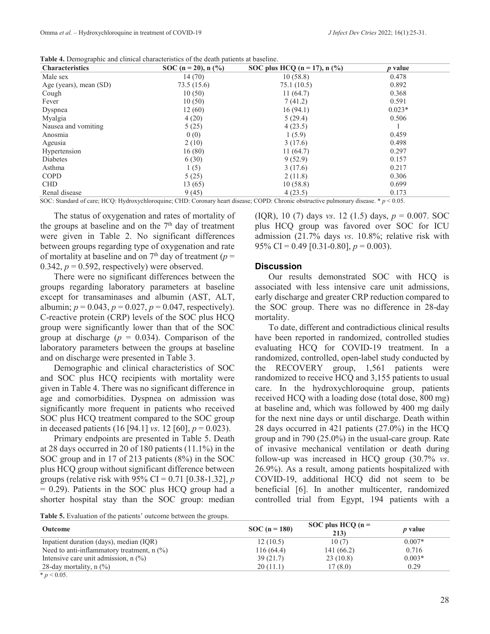**Table 4.** Demographic and clinical characteristics of the death patients at baseline.

| <sup>0</sup> 1<br><b>Characteristics</b> | SOC (n = 20), n $(\frac{9}{6})$ | SOC plus HCQ ( $n = 17$ ), $n$ (%) | <i>p</i> value |  |
|------------------------------------------|---------------------------------|------------------------------------|----------------|--|
| Male sex                                 | 14(70)                          | 10(58.8)                           | 0.478          |  |
| Age (years), mean (SD)                   | 73.5 (15.6)                     | 75.1(10.5)                         | 0.892          |  |
| Cough                                    | 10(50)                          | 11(64.7)                           | 0.368          |  |
| Fever                                    | 10(50)                          | 7(41.2)                            | 0.591          |  |
| Dyspnea                                  | 12(60)                          | 16(94.1)                           | $0.023*$       |  |
| Myalgia                                  | 4(20)                           | 5(29.4)                            | 0.506          |  |
| Nausea and vomiting                      | 5(25)                           | 4(23.5)                            |                |  |
| Anosmia                                  | 0(0)                            | 1(5.9)                             | 0.459          |  |
| Ageusia                                  | 2(10)                           | 3(17.6)                            | 0.498          |  |
| Hypertension                             | 16(80)                          | 11(64.7)                           | 0.297          |  |
| Diabetes                                 | 6(30)                           | 9(52.9)                            | 0.157          |  |
| Asthma                                   | 1(5)                            | 3(17.6)                            | 0.217          |  |
| <b>COPD</b>                              | 5(25)                           | 2(11.8)                            | 0.306          |  |
| <b>CHD</b>                               | 13 (65)                         | 10(58.8)                           | 0.699          |  |
| Renal disease                            | 9(45)                           | 4(23.5)                            | 0.173          |  |

SOC: Standard of care; HCQ: Hydroxychloroquine; CHD: Coronary heart disease; COPD: Chronic obstructive pulmonary disease. \* *p* < 0.05.

The status of oxygenation and rates of mortality of the groups at baseline and on the  $7<sup>th</sup>$  day of treatment were given in Table 2. No significant differences between groups regarding type of oxygenation and rate of mortality at baseline and on  $7<sup>th</sup>$  day of treatment ( $p =$ 0.342,  $p = 0.592$ , respectively) were observed.

There were no significant differences between the groups regarding laboratory parameters at baseline except for transaminases and albumin (AST, ALT, albumin;  $p = 0.043$ ,  $p = 0.027$ ,  $p = 0.047$ , respectively). C-reactive protein (CRP) levels of the SOC plus HCQ group were significantly lower than that of the SOC group at discharge  $(p = 0.034)$ . Comparison of the laboratory parameters between the groups at baseline and on discharge were presented in Table 3.

Demographic and clinical characteristics of SOC and SOC plus HCQ recipients with mortality were given in Table 4. There was no significant difference in age and comorbidities. Dyspnea on admission was significantly more frequent in patients who received SOC plus HCQ treatment compared to the SOC group in deceased patients (16 [94.1] *vs*. 12 [60], *p* = 0.023).

Primary endpoints are presented in Table 5. Death at 28 days occurred in 20 of 180 patients (11.1%) in the SOC group and in 17 of 213 patients (8%) in the SOC plus HCQ group without significant difference between groups (relative risk with 95% CI = 0.71 [0.38-1.32], *p*   $= 0.29$ ). Patients in the SOC plus HCQ group had a shorter hospital stay than the SOC group: median (IQR), 10 (7) days *vs*. 12 (1.5) days, *p* = 0.007. SOC plus HCQ group was favored over SOC for ICU admission (21.7% days *vs*. 10.8%; relative risk with 95% CI = 0.49 [0.31-0.80],  $p = 0.003$ ).

#### **Discussion**

Our results demonstrated SOC with HCQ is associated with less intensive care unit admissions, early discharge and greater CRP reduction compared to the SOC group. There was no difference in 28-day mortality.

To date, different and contradictious clinical results have been reported in randomized, controlled studies evaluating HCQ for COVID-19 treatment. In a randomized, controlled, open-label study conducted by the RECOVERY group, 1,561 patients were randomized to receive HCQ and 3,155 patients to usual care. In the hydroxychloroquine group, patients received HCQ with a loading dose (total dose, 800 mg) at baseline and, which was followed by 400 mg daily for the next nine days or until discharge. Death within 28 days occurred in 421 patients (27.0%) in the HCQ group and in 790 (25.0%) in the usual-care group. Rate of invasive mechanical ventilation or death during follow-up was increased in HCQ group (30.7% *vs*. 26.9%). As a result, among patients hospitalized with COVID-19, additional HCQ did not seem to be beneficial [6]. In another multicenter, randomized controlled trial from Egypt, 194 patients with a

**Table 5.** Evaluation of the patients' outcome between the groups.

| <b>Outcome</b>                                                        | $SOC (n = 180)$ | SOC plus HCQ $(n =$<br>213) | <i>p</i> value |
|-----------------------------------------------------------------------|-----------------|-----------------------------|----------------|
| Inpatient duration (days), median (IQR)                               | 12(10.5)        | 10(7)                       | $0.007*$       |
| Need to anti-inflammatory treatment, $n$ $\left(\frac{\%}{\%}\right)$ | 116(64.4)       | 141 (66.2)                  | 0.716          |
| Intensive care unit admission, $n$ $\left(\frac{9}{6}\right)$         | 39(21.7)        | 23(10.8)                    | $0.003*$       |
| 28-day mortality, $n$ (%)                                             | 20(11.1)        | 17(8.0)                     | 0.29           |
| * $p < 0.05$ .                                                        |                 |                             |                |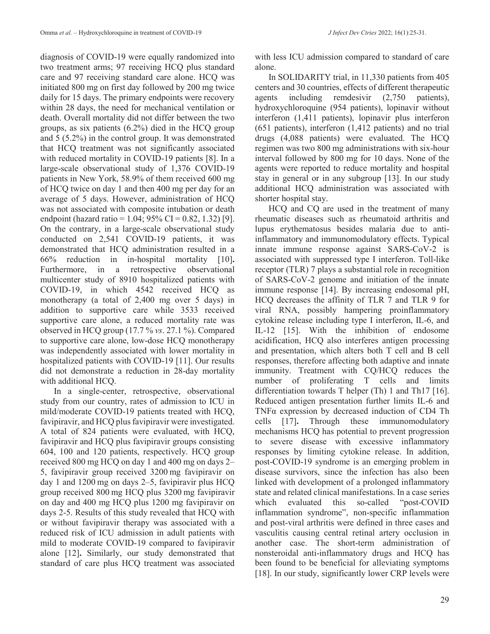diagnosis of COVID-19 were equally randomized into two treatment arms; 97 receiving HCQ plus standard care and 97 receiving standard care alone. HCQ was initiated 800 mg on first day followed by 200 mg twice daily for 15 days. The primary endpoints were recovery within 28 days, the need for mechanical ventilation or death. Overall mortality did not differ between the two groups, as six patients (6.2%) died in the HCQ group and 5 (5.2%) in the control group. It was demonstrated that HCQ treatment was not significantly associated with reduced mortality in COVID-19 patients [8]. In a large-scale observational study of 1,376 COVID-19 patients in New York, 58.9% of them received 600 mg of HCQ twice on day 1 and then 400 mg per day for an average of 5 days. However, administration of HCQ was not associated with composite intubation or death endpoint (hazard ratio = 1.04;  $95\%$  CI = 0.82, 1.32) [9]. On the contrary, in a large-scale observational study conducted on 2,541 COVID-19 patients, it was demonstrated that HCQ administration resulted in a 66% reduction in in-hospital mortality [10]**.**  Furthermore, in a retrospective observational multicenter study of 8910 hospitalized patients with COVID-19, in which 4542 received HCQ as monotherapy (a total of 2,400 mg over 5 days) in addition to supportive care while 3533 received supportive care alone, a reduced mortality rate was observed in HCQ group (17.7 % *vs*. 27.1 %). Compared to supportive care alone, low-dose HCQ monotherapy was independently associated with lower mortality in hospitalized patients with COVID-19 [11]. Our results did not demonstrate a reduction in 28-day mortality with additional HCQ.

In a single-center, retrospective, observational study from our country, rates of admission to ICU in mild/moderate COVID-19 patients treated with HCQ, favipiravir, and HCQ plus favipiravir were investigated. A total of 824 patients were evaluated, with HCQ, favipiravir and HCQ plus favipiravir groups consisting 604, 100 and 120 patients, respectively. HCQ group received 800 mg HCQ on day 1 and 400 mg on days 2– 5, favipiravir group received 3200 mg favipiravir on day 1 and 1200 mg on days 2–5, favipiravir plus HCQ group received 800 mg HCQ plus 3200 mg favipiravir on day and 400 mg HCQ plus 1200 mg favipiravir on days 2-5. Results of this study revealed that HCQ with or without favipiravir therapy was associated with a reduced risk of ICU admission in adult patients with mild to moderate COVID-19 compared to favipiravir alone [12]**.** Similarly, our study demonstrated that standard of care plus HCQ treatment was associated with less ICU admission compared to standard of care alone.

In SOLIDARITY trial, in 11,330 patients from 405 centers and 30 countries, effects of different therapeutic agents including remdesivir (2,750 patients), hydroxychloroquine (954 patients), lopinavir without interferon (1,411 patients), lopinavir plus interferon (651 patients), interferon (1,412 patients) and no trial drugs (4,088 patients) were evaluated. The HCQ regimen was two 800 mg administrations with six-hour interval followed by 800 mg for 10 days. None of the agents were reported to reduce mortality and hospital stay in general or in any subgroup [13]. In our study additional HCQ administration was associated with shorter hospital stay.

HCQ and CQ are used in the treatment of many rheumatic diseases such as rheumatoid arthritis and lupus erythematosus besides malaria due to antiinflammatory and immunomodulatory effects. Typical innate immune response against SARS-CoV-2 is associated with suppressed type I interferon. Toll-like receptor (TLR) 7 plays a substantial role in recognition of SARS-CoV-2 genome and initiation of the innate immune response [14]. By increasing endosomal pH, HCQ decreases the affinity of TLR 7 and TLR 9 for viral RNA, possibly hampering proinflammatory cytokine release including type I interferon, IL-6, and IL-12 [15]. With the inhibition of endosome acidification, HCQ also interferes antigen processing and presentation, which alters both T cell and B cell responses, therefore affecting both adaptive and innate immunity. Treatment with CQ/HCQ reduces the number of proliferating T cells and limits differentiation towards T helper (Th) 1 and Th17 [16]. Reduced antigen presentation further limits IL-6 and TNFα expression by decreased induction of CD4 Th cells [17]**.** Through these immunomodulatory mechanisms HCQ has potential to prevent progression to severe disease with excessive inflammatory responses by limiting cytokine release. In addition, post-COVID-19 syndrome is an emerging problem in disease survivors, since the infection has also been linked with development of a prolonged inflammatory state and related clinical manifestations. In a case series which evaluated this so-called "post-COVID inflammation syndrome", non-specific inflammation and post-viral arthritis were defined in three cases and vasculitis causing central retinal artery occlusion in another case. The short-term administration of nonsteroidal anti-inflammatory drugs and HCQ has been found to be beneficial for alleviating symptoms [18]. In our study, significantly lower CRP levels were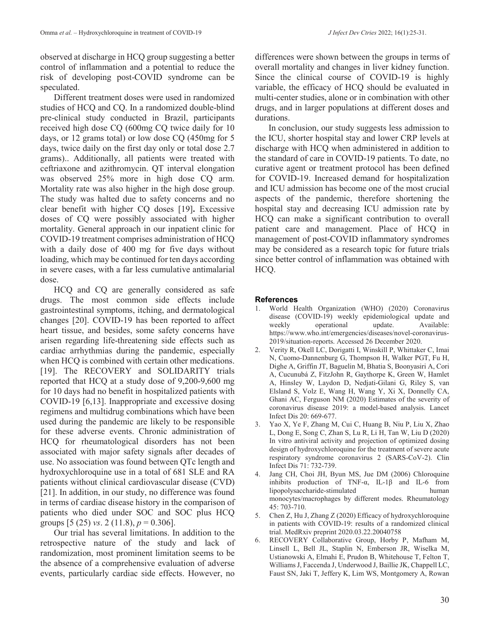observed at discharge in HCQ group suggesting a better control of inflammation and a potential to reduce the risk of developing post-COVID syndrome can be speculated.

Different treatment doses were used in randomized studies of HCQ and CQ. In a randomized double-blind pre-clinical study conducted in Brazil, participants received high dose CQ (600mg CQ twice daily for 10 days, or 12 grams total) or low dose CQ (450mg for 5 days, twice daily on the first day only or total dose 2.7 grams).. Additionally, all patients were treated with ceftriaxone and azithromycin. QT interval elongation was observed 25% more in high dose CQ arm. Mortality rate was also higher in the high dose group. The study was halted due to safety concerns and no clear benefit with higher CQ doses [19]**.** Excessive doses of CQ were possibly associated with higher mortality. General approach in our inpatient clinic for COVID-19 treatment comprises administration of HCQ with a daily dose of 400 mg for five days without loading, which may be continued for ten days according in severe cases, with a far less cumulative antimalarial dose.

HCQ and CQ are generally considered as safe drugs. The most common side effects include gastrointestinal symptoms, itching, and dermatological changes [20]. COVID-19 has been reported to affect heart tissue, and besides, some safety concerns have arisen regarding life-threatening side effects such as cardiac arrhythmias during the pandemic, especially when HCQ is combined with certain other medications. [19]. The RECOVERY and SOLIDARITY trials reported that HCQ at a study dose of 9,200-9,600 mg for 10 days had no benefit in hospitalized patients with COVID-19 [6,13]. Inappropriate and excessive dosing regimens and multidrug combinations which have been used during the pandemic are likely to be responsible for these adverse events. Chronic administration of HCQ for rheumatological disorders has not been associated with major safety signals after decades of use. No association was found between QTc length and hydroxychloroquine use in a total of 681 SLE and RA patients without clinical cardiovascular disease (CVD) [21]. In addition, in our study, no difference was found in terms of cardiac disease history in the comparison of patients who died under SOC and SOC plus HCQ groups [5 (25) *vs*. 2 (11.8), *p* = 0.306].

Our trial has several limitations. In addition to the retrospective nature of the study and lack of randomization, most prominent limitation seems to be the absence of a comprehensive evaluation of adverse events, particularly cardiac side effects. However, no

differences were shown between the groups in terms of overall mortality and changes in liver kidney function. Since the clinical course of COVID-19 is highly variable, the efficacy of HCQ should be evaluated in multi-center studies, alone or in combination with other drugs, and in larger populations at different doses and durations.

In conclusion, our study suggests less admission to the ICU, shorter hospital stay and lower CRP levels at discharge with HCQ when administered in addition to the standard of care in COVID-19 patients. To date, no curative agent or treatment protocol has been defined for COVID-19. Increased demand for hospitalization and ICU admission has become one of the most crucial aspects of the pandemic, therefore shortening the hospital stay and decreasing ICU admission rate by HCQ can make a significant contribution to overall patient care and management. Place of HCQ in management of post-COVID inflammatory syndromes may be considered as a research topic for future trials since better control of inflammation was obtained with HCQ.

## **References**

- 1. World Health Organization (WHO) (2020) Coronavirus disease (COVID-19) weekly epidemiological update and weekly operational update. Available: https://www.who.int/emergencies/diseases/novel-coronavirus-2019/situation-reports. Accessed 26 December 2020.
- 2. Verity R, Okell LC, Dorigatti I, Winskill P, Whittaker C, Imai N, Cuomo-Dannenburg G, Thompson H, Walker PGT, Fu H, Dighe A, Griffin JT, Baguelin M, Bhatia S, Boonyasiri A, Cori A, Cucunubá Z, FitzJohn R, Gaythorpe K, Green W, Hamlet A, Hinsley W, Laydon D, Nedjati-Gilani G, Riley S, van Elsland S, Volz E, Wang H, Wang Y, Xi X, Donnelly CA, Ghani AC, Ferguson NM (2020) Estimates of the severity of coronavirus disease 2019: a model-based analysis. Lancet Infect Dis 20: 669-677.
- 3. Yao X, Ye F, Zhang M, Cui C, Huang B, Niu P, Liu X, Zhao L, Dong E, Song C, Zhan S, Lu R, Li H, Tan W, Liu D (2020) In vitro antiviral activity and projection of optimized dosing design of hydroxychloroquine for the treatment of severe acute respiratory syndrome coronavirus 2 (SARS-CoV-2). Clin Infect Dis 71: 732-739.
- 4. Jang CH, Choi JH, Byun MS, Jue DM (2006) Chloroquine inhibits production of TNF- $\alpha$ , IL-1 $\beta$  and IL-6 from lipopolysaccharide-stimulated human monocytes/macrophages by different modes. Rheumatology 45: 703-710.
- 5. Chen Z, Hu J, Zhang Z (2020) Efficacy of hydroxychloroquine in patients with COVID-19: results of a randomized clinical trial. MedRxiv preprint 2020.03.22.20040758
- 6. RECOVERY Collaborative Group, Horby P, Mafham M, Linsell L, Bell JL, Staplin N, Emberson JR, Wiselka M, Ustianowski A, Elmahi E, Prudon B, Whitehouse T, Felton T, Williams J, Faccenda J, Underwood J, Baillie JK, Chappell LC, Faust SN, Jaki T, Jeffery K, Lim WS, Montgomery A, Rowan